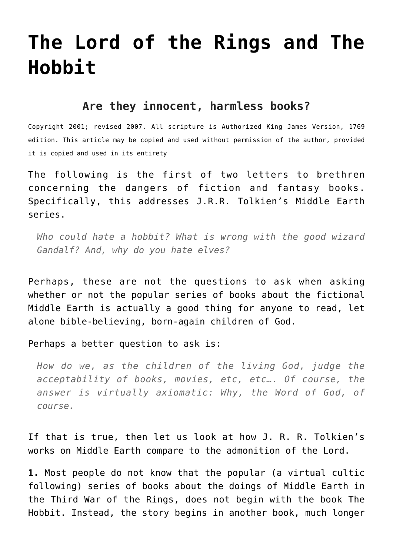## **[The Lord of the Rings and The](http://reproachofmen.org/spiritualwar/the-lord-of-the-rings-and-the-hobbit/) [Hobbit](http://reproachofmen.org/spiritualwar/the-lord-of-the-rings-and-the-hobbit/)**

## **Are they innocent, harmless books?**

Copyright 2001; revised 2007. All scripture is Authorized King James Version, 1769 edition. This article may be copied and used without permission of the author, provided it is copied and used in its entirety

The following is the first of two letters to brethren concerning the dangers of fiction and fantasy books. Specifically, this addresses J.R.R. Tolkien's Middle Earth series.

*Who could hate a hobbit? What is wrong with the good wizard Gandalf? And, why do you hate elves?*

Perhaps, these are not the questions to ask when asking whether or not the popular series of books about the fictional Middle Earth is actually a good thing for anyone to read, let alone bible-believing, born-again children of God.

Perhaps a better question to ask is:

*How do we, as the children of the living God, judge the acceptability of books, movies, etc, etc…. Of course, the answer is virtually axiomatic: Why, the Word of God, of course.*

If that is true, then let us look at how J. R. R. Tolkien's works on Middle Earth compare to the admonition of the Lord.

**1.** Most people do not know that the popular (a virtual cultic following) series of books about the doings of Middle Earth in the Third War of the Rings, does not begin with the book The Hobbit. Instead, the story begins in another book, much longer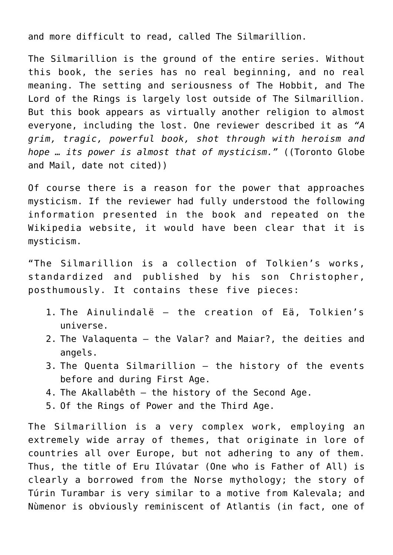and more difficult to read, called The Silmarillion.

The Silmarillion is the ground of the entire series. Without this book, the series has no real beginning, and no real meaning. The setting and seriousness of The Hobbit, and The Lord of the Rings is largely lost outside of The Silmarillion. But this book appears as virtually another religion to almost everyone, including the lost. One reviewer described it as *"A grim, tragic, powerful book, shot through with heroism and hope … its power is almost that of mysticism."* ((Toronto Globe and Mail, date not cited))

Of course there is a reason for the power that approaches mysticism. If the reviewer had fully understood the following information presented in the book and repeated on the Wikipedia website, it would have been clear that it is mysticism.

"The Silmarillion is a collection of Tolkien's works, standardized and published by his son Christopher, posthumously. It contains these five pieces:

- 1. The Ainulindalë the creation of Eä, Tolkien's universe.
- 2. The Valaquenta the Valar? and Maiar?, the deities and angels.
- 3. The Quenta Silmarillion the history of the events before and during First Age.
- 4. The Akallabêth the history of the Second Age.
- 5. Of the Rings of Power and the Third Age.

The Silmarillion is a very complex work, employing an extremely wide array of themes, that originate in lore of countries all over Europe, but not adhering to any of them. Thus, the title of Eru Ilúvatar (One who is Father of All) is clearly a borrowed from the Norse mythology; the story of Túrin Turambar is very similar to a motive from Kalevala; and Nùmenor is obviously reminiscent of Atlantis (in fact, one of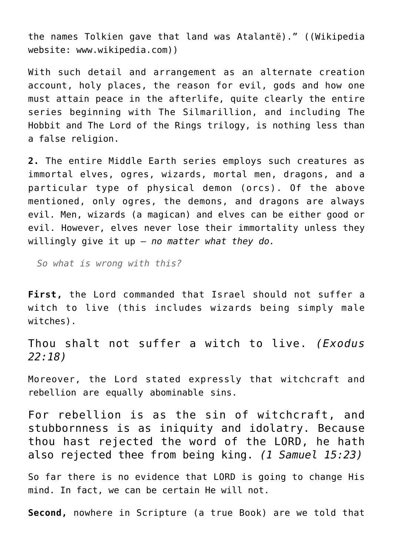the names Tolkien gave that land was Atalantë)." ((Wikipedia website: www.wikipedia.com))

With such detail and arrangement as an alternate creation account, holy places, the reason for evil, gods and how one must attain peace in the afterlife, quite clearly the entire series beginning with The Silmarillion, and including The Hobbit and The Lord of the Rings trilogy, is nothing less than a false religion.

**2.** The entire Middle Earth series employs such creatures as immortal elves, ogres, wizards, mortal men, dragons, and a particular type of physical demon (orcs). Of the above mentioned, only ogres, the demons, and dragons are always evil. Men, wizards (a magican) and elves can be either good or evil. However, elves never lose their immortality unless they willingly give it up – *no matter what they do.*

*So what is wrong with this?*

**First,** the Lord commanded that Israel should not suffer a witch to live (this includes wizards being simply male witches).

Thou shalt not suffer a witch to live. *(Exodus 22:18)*

Moreover, the Lord stated expressly that witchcraft and rebellion are equally abominable sins.

For rebellion is as the sin of witchcraft, and stubbornness is as iniquity and idolatry. Because thou hast rejected the word of the LORD, he hath also rejected thee from being king. *(1 Samuel 15:23)*

So far there is no evidence that LORD is going to change His mind. In fact, we can be certain He will not.

**Second,** nowhere in Scripture (a true Book) are we told that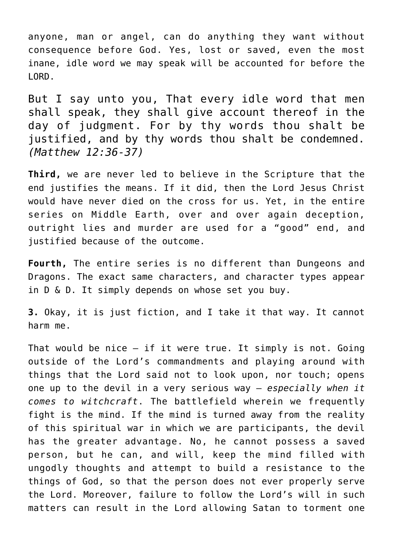anyone, man or angel, can do anything they want without consequence before God. Yes, lost or saved, even the most inane, idle word we may speak will be accounted for before the LORD.

But I say unto you, That every idle word that men shall speak, they shall give account thereof in the day of judgment. For by thy words thou shalt be justified, and by thy words thou shalt be condemned. *(Matthew 12:36-37)*

**Third,** we are never led to believe in the Scripture that the end justifies the means. If it did, then the Lord Jesus Christ would have never died on the cross for us. Yet, in the entire series on Middle Earth, over and over again deception, outright lies and murder are used for a "good" end, and justified because of the outcome.

**Fourth,** The entire series is no different than Dungeons and Dragons. The exact same characters, and character types appear in D & D. It simply depends on whose set you buy.

**3.** Okay, it is just fiction, and I take it that way. It cannot harm me.

That would be nice – if it were true. It simply is not. Going outside of the Lord's commandments and playing around with things that the Lord said not to look upon, nor touch; opens one up to the devil in a very serious way – *especially when it comes to witchcraft*. The battlefield wherein we frequently fight is the mind. If the mind is turned away from the reality of this spiritual war in which we are participants, the devil has the greater advantage. No, he cannot possess a saved person, but he can, and will, keep the mind filled with ungodly thoughts and attempt to build a resistance to the things of God, so that the person does not ever properly serve the Lord. Moreover, failure to follow the Lord's will in such matters can result in the Lord allowing Satan to torment one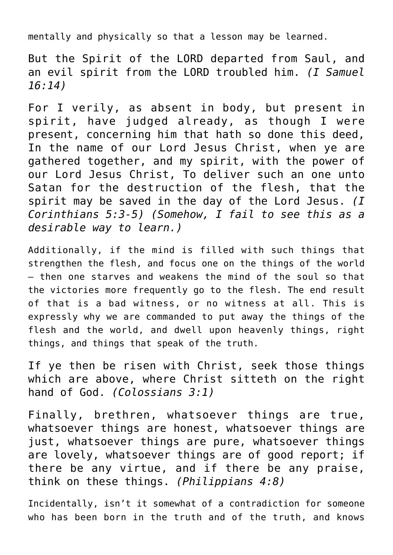mentally and physically so that a lesson may be learned.

But the Spirit of the LORD departed from Saul, and an evil spirit from the LORD troubled him. *(I Samuel 16:14)*

For I verily, as absent in body, but present in spirit, have judged already, as though I were present, concerning him that hath so done this deed, In the name of our Lord Jesus Christ, when ye are gathered together, and my spirit, with the power of our Lord Jesus Christ, To deliver such an one unto Satan for the destruction of the flesh, that the spirit may be saved in the day of the Lord Jesus. *(I Corinthians 5:3-5) (Somehow, I fail to see this as a desirable way to learn.)*

Additionally, if the mind is filled with such things that strengthen the flesh, and focus one on the things of the world – then one starves and weakens the mind of the soul so that the victories more frequently go to the flesh. The end result of that is a bad witness, or no witness at all. This is expressly why we are commanded to put away the things of the flesh and the world, and dwell upon heavenly things, right things, and things that speak of the truth.

If ye then be risen with Christ, seek those things which are above, where Christ sitteth on the right hand of God. *(Colossians 3:1)*

Finally, brethren, whatsoever things are true, whatsoever things are honest, whatsoever things are just, whatsoever things are pure, whatsoever things are lovely, whatsoever things are of good report; if there be any virtue, and if there be any praise, think on these things. *(Philippians 4:8)*

Incidentally, isn't it somewhat of a contradiction for someone who has been born in the truth and of the truth, and knows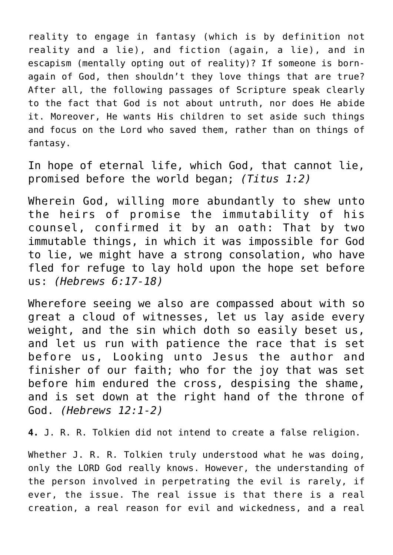reality to engage in fantasy (which is by definition not reality and a lie), and fiction (again, a lie), and in escapism (mentally opting out of reality)? If someone is bornagain of God, then shouldn't they love things that are true? After all, the following passages of Scripture speak clearly to the fact that God is not about untruth, nor does He abide it. Moreover, He wants His children to set aside such things and focus on the Lord who saved them, rather than on things of fantasy.

In hope of eternal life, which God, that cannot lie, promised before the world began; *(Titus 1:2)*

Wherein God, willing more abundantly to shew unto the heirs of promise the immutability of his counsel, confirmed it by an oath: That by two immutable things, in which it was impossible for God to lie, we might have a strong consolation, who have fled for refuge to lay hold upon the hope set before us: *(Hebrews 6:17-18)*

Wherefore seeing we also are compassed about with so great a cloud of witnesses, let us lay aside every weight, and the sin which doth so easily beset us, and let us run with patience the race that is set before us, Looking unto Jesus the author and finisher of our faith; who for the joy that was set before him endured the cross, despising the shame, and is set down at the right hand of the throne of God. *(Hebrews 12:1-2)*

**4.** J. R. R. Tolkien did not intend to create a false religion.

Whether J. R. R. Tolkien truly understood what he was doing, only the LORD God really knows. However, the understanding of the person involved in perpetrating the evil is rarely, if ever, the issue. The real issue is that there is a real creation, a real reason for evil and wickedness, and a real